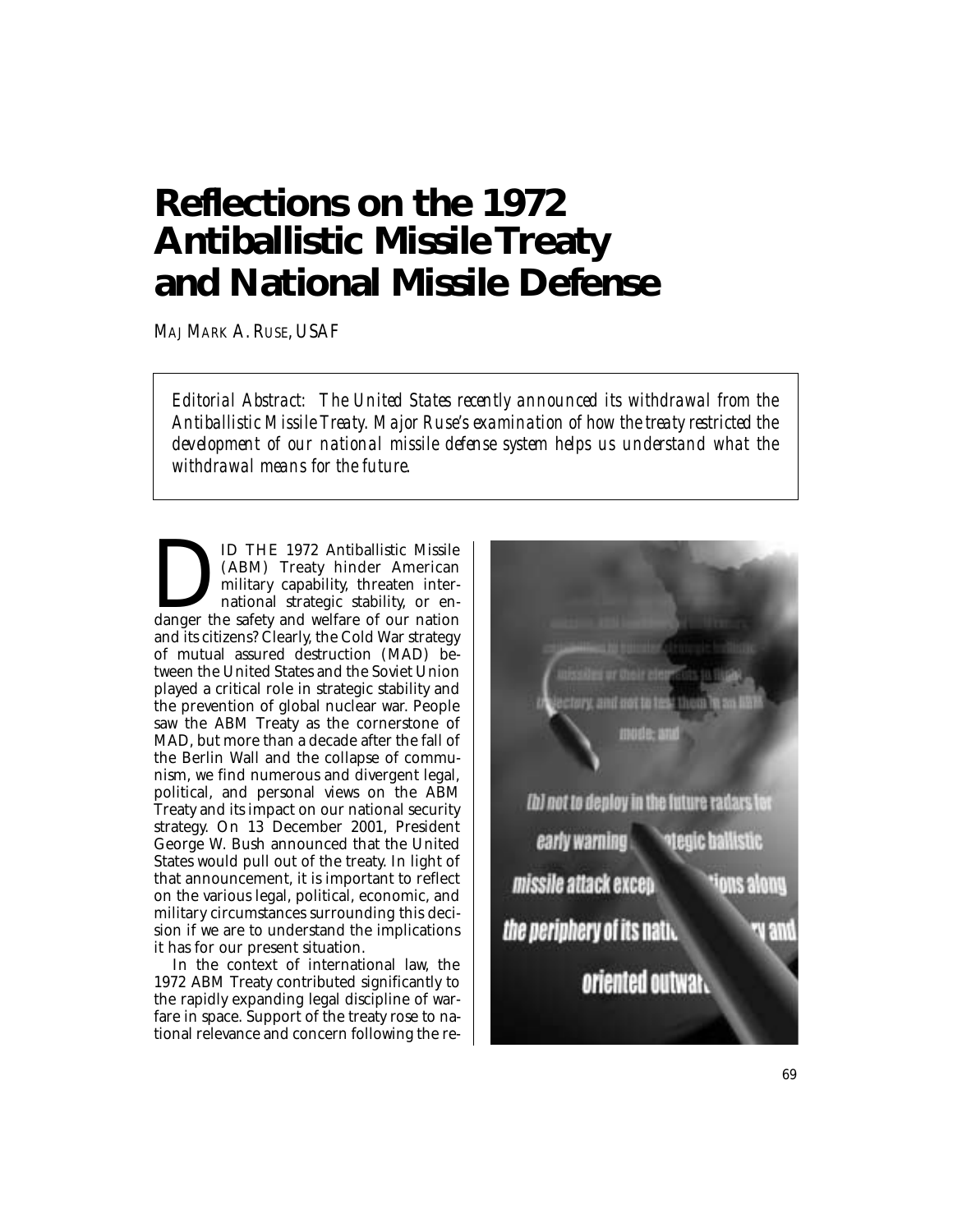## **Reflections on the 1972 Antiballistic Missile Treaty and National Missile Defense**

MAJ MARK A. RUSE, USAF

*Editorial Abstract: The United States recently announced its withdrawal from the Antiballistic Missile Treaty. Major Ruse's examination of how the treaty restricted the development of our national missile defense system helps us understand what the withdrawal means for the future.* 

ID THE 1972 Antiballistic Missile (ABM) Treaty hinder American military capability, threaten international strategic stability, or endanger the safety and welfare of our nation (ABM) Treaty hinder American military capability, threaten international strategic stability, or enand its citizens? Clearly, the Cold War strategy of mutual assured destruction (MAD) between the United States and the Soviet Union played a critical role in strategic stability and the prevention of global nuclear war. People saw the ABM Treaty as the cornerstone of MAD, but more than a decade after the fall of the Berlin Wall and the collapse of communism, we find numerous and divergent legal, political, and personal views on the ABM Treaty and its impact on our national security strategy. On 13 December 2001, President George W. Bush announced that the United States would pull out of the treaty. In light of that announcement, it is important to reflect on the various legal, political, economic, and military circumstances surrounding this decision if we are to understand the implications it has for our present situation.

In the context of international law, the 1972 ABM Treaty contributed significantly to the rapidly expanding legal discipline of warfare in space. Support of the treaty rose to national relevance and concern following the re-

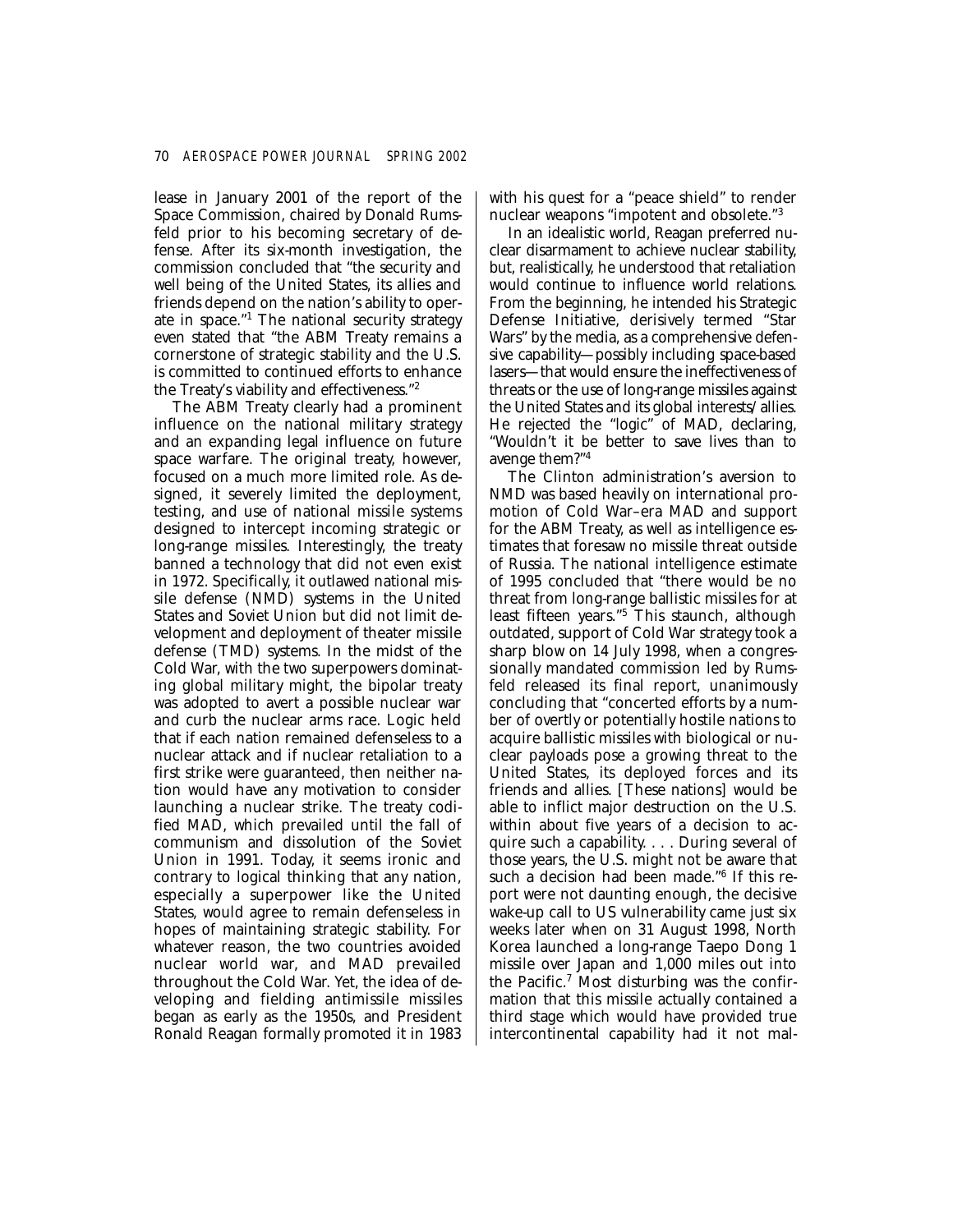lease in January 2001 of the report of the Space Commission, chaired by Donald Rumsfeld prior to his becoming secretary of defense. After its six-month investigation, the commission concluded that "the security and well being of the United States, its allies and friends depend on the nation's ability to operate in space."1 The national security strategy even stated that "the ABM Treaty remains a cornerstone of strategic stability and the U.S. is committed to continued efforts to enhance the Treaty's viability and effectiveness."2

The ABM Treaty clearly had a prominent influence on the national military strategy and an expanding legal influence on future space warfare. The original treaty, however, focused on a much more limited role. As designed, it severely limited the deployment, testing, and use of national missile systems designed to intercept incoming strategic or long-range missiles. Interestingly, the treaty banned a technology that did not even exist in 1972. Specifically, it outlawed national missile defense (NMD) systems in the United States and Soviet Union but did not limit development and deployment of theater missile defense (TMD) systems. In the midst of the Cold War, with the two superpowers dominating global military might, the bipolar treaty was adopted to avert a possible nuclear war and curb the nuclear arms race. Logic held that if each nation remained defenseless to a nuclear attack and if nuclear retaliation to a first strike were guaranteed, then neither nation would have any motivation to consider launching a nuclear strike. The treaty codified MAD, which prevailed until the fall of communism and dissolution of the Soviet Union in 1991. Today, it seems ironic and contrary to logical thinking that any nation, especially a superpower like the United States, would agree to remain defenseless in hopes of maintaining strategic stability. For whatever reason, the two countries avoided nuclear world war, and MAD prevailed throughout the Cold War. Yet, the idea of developing and fielding antimissile missiles began as early as the 1950s, and President Ronald Reagan formally promoted it in 1983 with his quest for a "peace shield" to render nuclear weapons "impotent and obsolete."3

In an idealistic world, Reagan preferred nuclear disarmament to achieve nuclear stability, but, realistically, he understood that retaliation would continue to influence world relations. From the beginning, he intended his Strategic Defense Initiative, derisively termed "Star Wars" by the media, as a comprehensive defensive capability—possibly including space-based lasers—that would ensure the ineffectiveness of threats or the use of long-range missiles against the United States and its global interests/allies. He rejected the "logic" of MAD, declaring, "Wouldn't it be better to save lives than to avenge them?"4

The Clinton administration's aversion to NMD was based heavily on international promotion of Cold War–era MAD and support for the ABM Treaty, as well as intelligence estimates that foresaw no missile threat outside of Russia. The national intelligence estimate of 1995 concluded that "there would be no threat from long-range ballistic missiles for at least fifteen years."<sup>5</sup> This staunch, although outdated, support of Cold War strategy took a sharp blow on 14 July 1998, when a congressionally mandated commission led by Rumsfeld released its final report, unanimously concluding that "concerted efforts by a number of overtly or potentially hostile nations to acquire ballistic missiles with biological or nuclear payloads pose a growing threat to the United States, its deployed forces and its friends and allies. [These nations] would be able to inflict major destruction on the U.S. within about five years of a decision to acquire such a capability. . . . During several of those years, the U.S. might not be aware that such a decision had been made."6 If this report were not daunting enough, the decisive wake-up call to US vulnerability came just six weeks later when on 31 August 1998, North Korea launched a long-range Taepo Dong 1 missile over Japan and 1,000 miles out into the Pacific.7 Most disturbing was the confirmation that this missile actually contained a third stage which would have provided true intercontinental capability had it not mal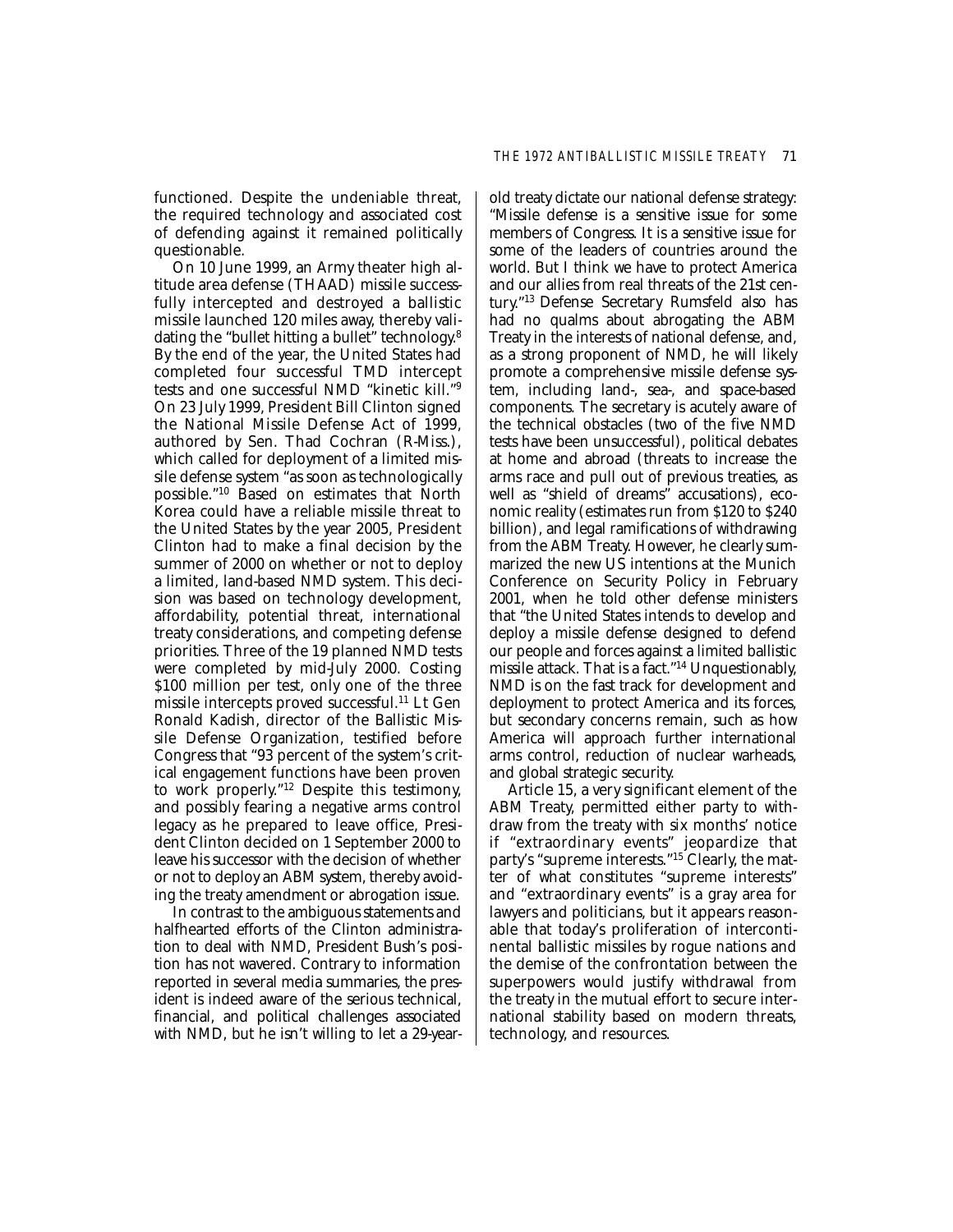functioned. Despite the undeniable threat, the required technology and associated cost of defending against it remained politically questionable.

On 10 June 1999, an Army theater high altitude area defense (THAAD) missile successfully intercepted and destroyed a ballistic missile launched 120 miles away, thereby validating the "bullet hitting a bullet" technology. 8 By the end of the year, the United States had completed four successful TMD intercept tests and one successful NMD "kinetic kill."9 On 23 July 1999, President Bill Clinton signed the National Missile Defense Act of 1999, authored by Sen. Thad Cochran (R-Miss.), which called for deployment of a limited missile defense system "as soon as technologically possible."<sup>10</sup> Based on estimates that North Korea could have a reliable missile threat to the United States by the year 2005, President Clinton had to make a final decision by the summer of 2000 on whether or not to deploy a limited, land-based NMD system. This decision was based on technology development, affordability, potential threat, international treaty considerations, and competing defense priorities. Three of the 19 planned NMD tests were completed by mid-July 2000. Costing \$100 million per test, only one of the three missile intercepts proved successful.<sup>11</sup> Lt Gen Ronald Kadish, director of the Ballistic Missile Defense Organization, testified before Congress that "93 percent of the system's critical engagement functions have been proven to work properly."12 Despite this testimony, and possibly fearing a negative arms control legacy as he prepared to leave office, President Clinton decided on 1 September 2000 to leave his successor with the decision of whether or not to deploy an ABM system, thereby avoiding the treaty amendment or abrogation issue.

In contrast to the ambiguous statements and halfhearted efforts of the Clinton administration to deal with NMD, President Bush's position has not wavered. Contrary to information reported in several media summaries, the president is indeed aware of the serious technical, financial, and political challenges associated with NMD, but he isn't willing to let a 29-yearold treaty dictate our national defense strategy: "Missile defense is a sensitive issue for some members of Congress. It is a sensitive issue for some of the leaders of countries around the world. But I think we have to protect America and our allies from real threats of the 21st century."13 Defense Secretary Rumsfeld also has had no qualms about abrogating the ABM Treaty in the interests of national defense, and, as a strong proponent of NMD, he will likely promote a comprehensive missile defense system, including land-, sea-, and space-based components. The secretary is acutely aware of the technical obstacles (two of the five NMD tests have been unsuccessful), political debates at home and abroad (threats to increase the arms race and pull out of previous treaties, as well as "shield of dreams" accusations), economic reality (estimates run from \$120 to \$240 billion), and legal ramifications of withdrawing from the ABM Treaty. However, he clearly summarized the new US intentions at the Munich Conference on Security Policy in February 2001, when he told other defense ministers that "the United States intends to develop and deploy a missile defense designed to defend our people and forces against a limited ballistic missile attack. That is a fact."14 Unquestionably, NMD is on the fast track for development and deployment to protect America and its forces, but secondary concerns remain, such as how America will approach further international arms control, reduction of nuclear warheads, and global strategic security.

Article 15, a very significant element of the ABM Treaty, permitted either party to withdraw from the treaty with six months' notice if "extraordinary events" jeopardize that party's "supreme interests."<sup>15</sup> Clearly, the matter of what constitutes "supreme interests" and "extraordinary events" is a gray area for lawyers and politicians, but it appears reasonable that today's proliferation of intercontinental ballistic missiles by rogue nations and the demise of the confrontation between the superpowers would justify withdrawal from the treaty in the mutual effort to secure international stability based on modern threats, technology, and resources.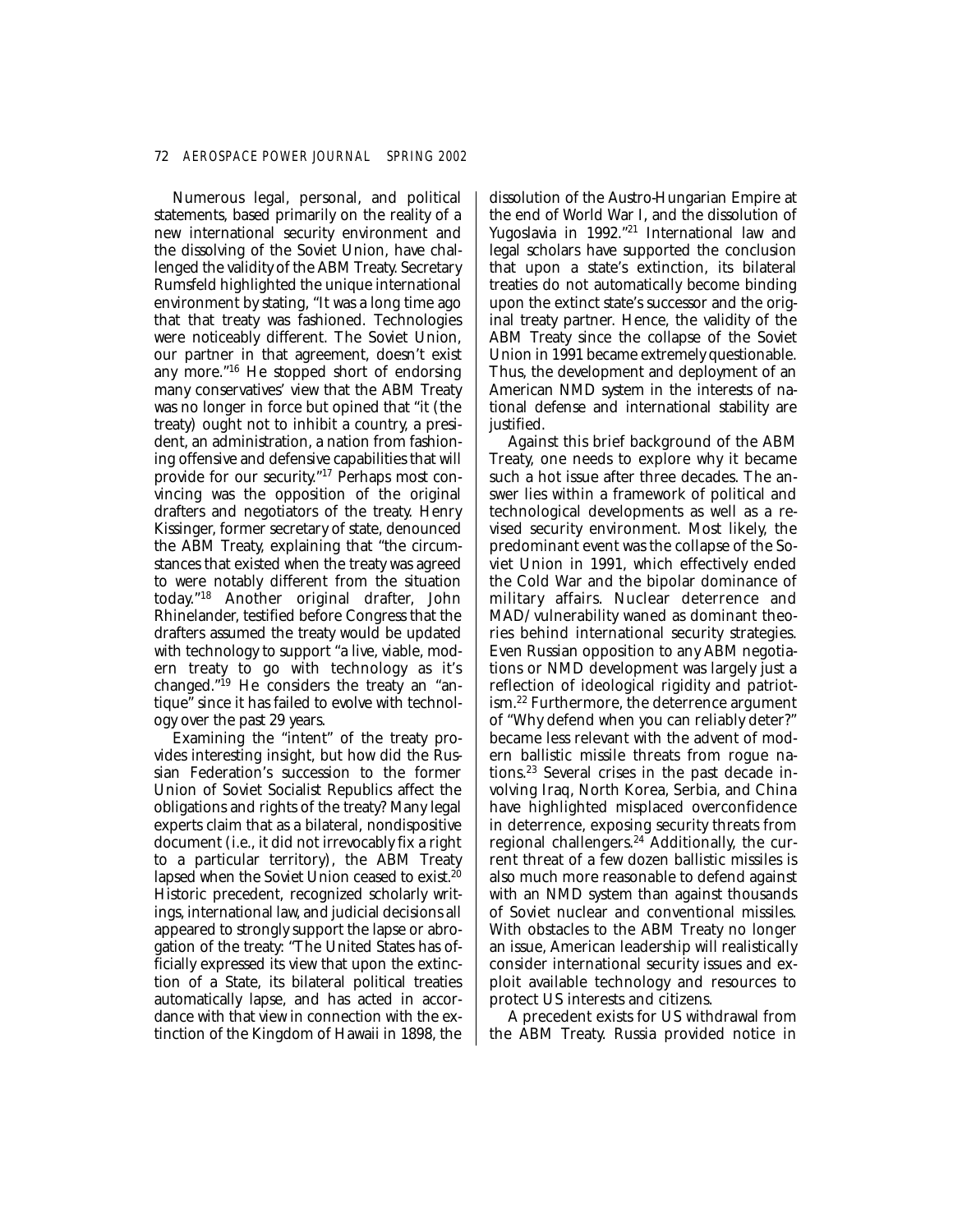Numerous legal, personal, and political statements, based primarily on the reality of a new international security environment and the dissolving of the Soviet Union, have challenged the validity of the ABM Treaty. Secretary Rumsfeld highlighted the unique international environment by stating, "It was a long time ago that that treaty was fashioned. Technologies were noticeably different. The Soviet Union, our partner in that agreement, doesn't exist any more."16 He stopped short of endorsing many conservatives' view that the ABM Treaty was no longer in force but opined that "it (the treaty) ought not to inhibit a country, a president, an administration, a nation from fashioning offensive and defensive capabilities that will provide for our security."17 Perhaps most convincing was the opposition of the original drafters and negotiators of the treaty. Henry Kissinger, former secretary of state, denounced the ABM Treaty, explaining that "the circumstances that existed when the treaty was agreed to were notably different from the situation today."18 Another original drafter, John Rhinelander, testified before Congress that the drafters assumed the treaty would be updated with technology to support "a live, viable, modern treaty to go with technology as it's changed."19 He considers the treaty an "antique" since it has failed to evolve with technology over the past 29 years.

Examining the "intent" of the treaty provides interesting insight, but how did the Russian Federation's succession to the former Union of Soviet Socialist Republics affect the obligations and rights of the treaty? Many legal experts claim that as a bilateral, nondispositive document (i.e., it did not irrevocably fix a right to a particular territory), the ABM Treaty lapsed when the Soviet Union ceased to exist.<sup>20</sup> Historic precedent, recognized scholarly writings, international law, and judicial decisions all appeared to strongly support the lapse or abrogation of the treaty: "The United States has officially expressed its view that upon the extinction of a State, its bilateral political treaties automatically lapse, and has acted in accordance with that view in connection with the extinction of the Kingdom of Hawaii in 1898, the

dissolution of the Austro-Hungarian Empire at the end of World War I, and the dissolution of Yugoslavia in 1992."21 International law and legal scholars have supported the conclusion that upon a state's extinction, its bilateral treaties do not automatically become binding upon the extinct state's successor and the original treaty partner. Hence, the validity of the ABM Treaty since the collapse of the Soviet Union in 1991 became extremely questionable. Thus, the development and deployment of an American NMD system in the interests of national defense and international stability are justified.

Against this brief background of the ABM Treaty, one needs to explore why it became such a hot issue after three decades. The answer lies within a framework of political and technological developments as well as a revised security environment. Most likely, the predominant event was the collapse of the Soviet Union in 1991, which effectively ended the Cold War and the bipolar dominance of military affairs. Nuclear deterrence and MAD/vulnerability waned as dominant theories behind international security strategies. Even Russian opposition to any ABM negotiations or NMD development was largely just a reflection of ideological rigidity and patriotism.22 Furthermore, the deterrence argument of "Why defend when you can reliably deter?" became less relevant with the advent of modern ballistic missile threats from rogue nations.23 Several crises in the past decade involving Iraq, North Korea, Serbia, and China have highlighted misplaced overconfidence in deterrence, exposing security threats from regional challengers.24 Additionally, the current threat of a few dozen ballistic missiles is also much more reasonable to defend against with an NMD system than against thousands of Soviet nuclear and conventional missiles. With obstacles to the ABM Treaty no longer an issue, American leadership will realistically consider international security issues and exploit available technology and resources to protect US interests and citizens.

A precedent exists for US withdrawal from the ABM Treaty. Russia provided notice in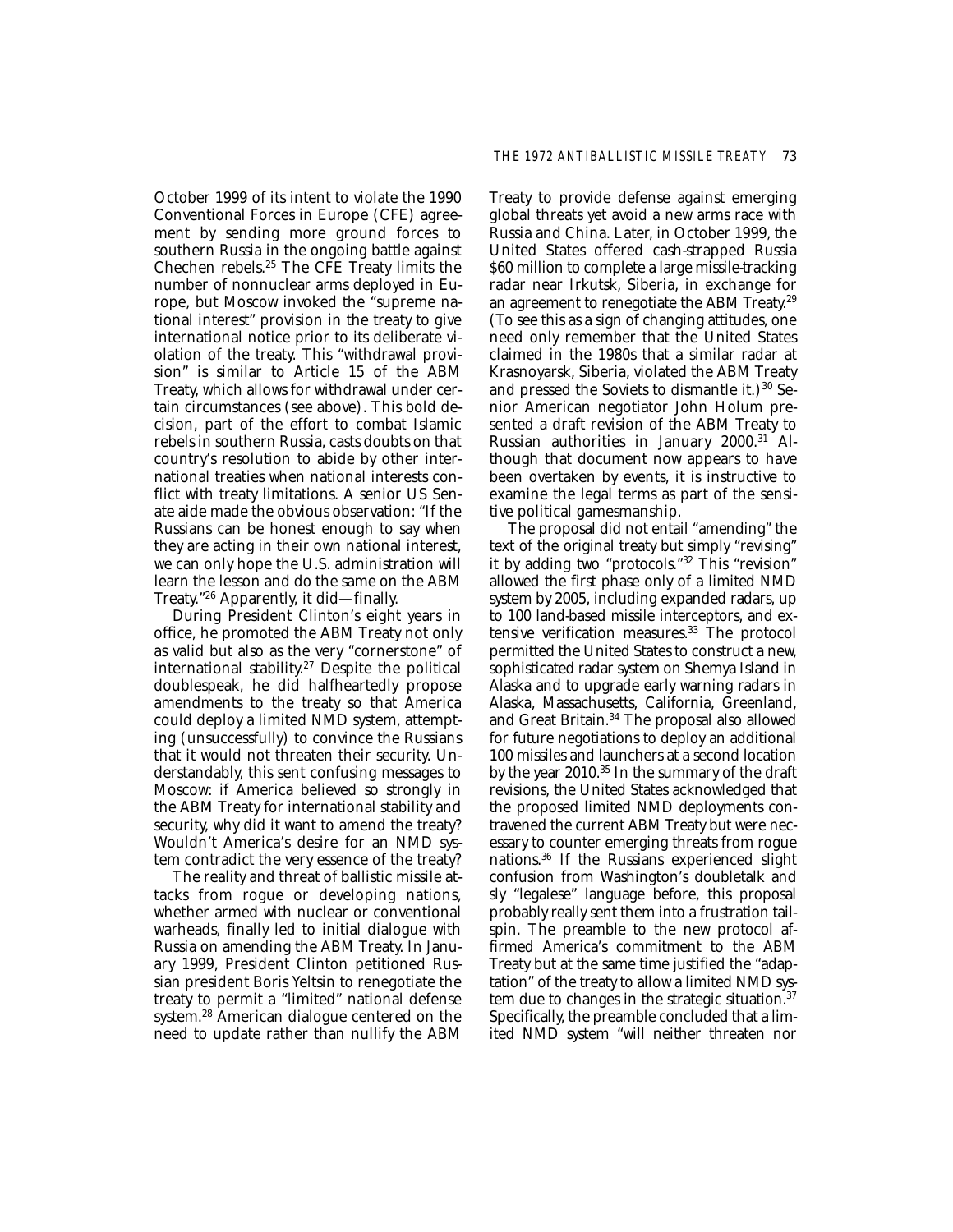October 1999 of its intent to violate the 1990 Conventional Forces in Europe (CFE) agreement by sending more ground forces to southern Russia in the ongoing battle against Chechen rebels.25 The CFE Treaty limits the number of nonnuclear arms deployed in Europe, but Moscow invoked the "supreme national interest" provision in the treaty to give international notice prior to its deliberate violation of the treaty. This "withdrawal provision" is similar to Article 15 of the ABM Treaty, which allows for withdrawal under certain circumstances (see above). This bold decision, part of the effort to combat Islamic rebels in southern Russia, casts doubts on that country's resolution to abide by other international treaties when national interests conflict with treaty limitations. A senior US Senate aide made the obvious observation: "If the Russians can be honest enough to say when they are acting in their own national interest, we can only hope the U.S. administration will learn the lesson and do the same on the ABM Treaty."26 Apparently, it did—finally.

During President Clinton's eight years in office, he promoted the ABM Treaty not only as valid but also as the very "cornerstone" of international stability. 27 Despite the political doublespeak, he did halfheartedly propose amendments to the treaty so that America could deploy a limited NMD system, attempting (unsuccessfully) to convince the Russians that it would not threaten their security. Understandably, this sent confusing messages to Moscow: if America believed so strongly in the ABM Treaty for international stability and security, why did it want to amend the treaty? Wouldn't America's desire for an NMD system contradict the very essence of the treaty?

The reality and threat of ballistic missile attacks from rogue or developing nations, whether armed with nuclear or conventional warheads, finally led to initial dialogue with Russia on amending the ABM Treaty. In January 1999, President Clinton petitioned Russian president Boris Yeltsin to renegotiate the treaty to permit a "limited" national defense system.28 American dialogue centered on the need to update rather than nullify the ABM Treaty to provide defense against emerging global threats yet avoid a new arms race with Russia and China. Later, in October 1999, the United States offered cash-strapped Russia \$60 million to complete a large missile-tracking radar near Irkutsk, Siberia, in exchange for an agreement to renegotiate the ABM Treaty. 29 (To see this as a sign of changing attitudes, one need only remember that the United States claimed in the 1980s that a similar radar at Krasnoyarsk, Siberia, violated the ABM Treaty and pressed the Soviets to dismantle it.)<sup>30</sup> Senior American negotiator John Holum presented a draft revision of the ABM Treaty to Russian authorities in January 2000.<sup>31</sup> Although that document now appears to have been overtaken by events, it is instructive to examine the legal terms as part of the sensitive political gamesmanship.

The proposal did not entail "amending" the text of the original treaty but simply "revising" it by adding two "protocols."32 This "revision" allowed the first phase only of a limited NMD system by 2005, including expanded radars, up to 100 land-based missile interceptors, and extensive verification measures.<sup>33</sup> The protocol permitted the United States to construct a new, sophisticated radar system on Shemya Island in Alaska and to upgrade early warning radars in Alaska, Massachusetts, California, Greenland, and Great Britain.<sup>34</sup> The proposal also allowed for future negotiations to deploy an additional 100 missiles and launchers at a second location by the year 2010.35 In the summary of the draft revisions, the United States acknowledged that the proposed limited NMD deployments contravened the current ABM Treaty but were necessary to counter emerging threats from rogue nations.36 If the Russians experienced slight confusion from Washington's doubletalk and sly "legalese" language before, this proposal probably really sent them into a frustration tailspin. The preamble to the new protocol affirmed America's commitment to the ABM Treaty but at the same time justified the "adaptation" of the treaty to allow a limited NMD system due to changes in the strategic situation.<sup>37</sup> Specifically, the preamble concluded that a limited NMD system "will neither threaten nor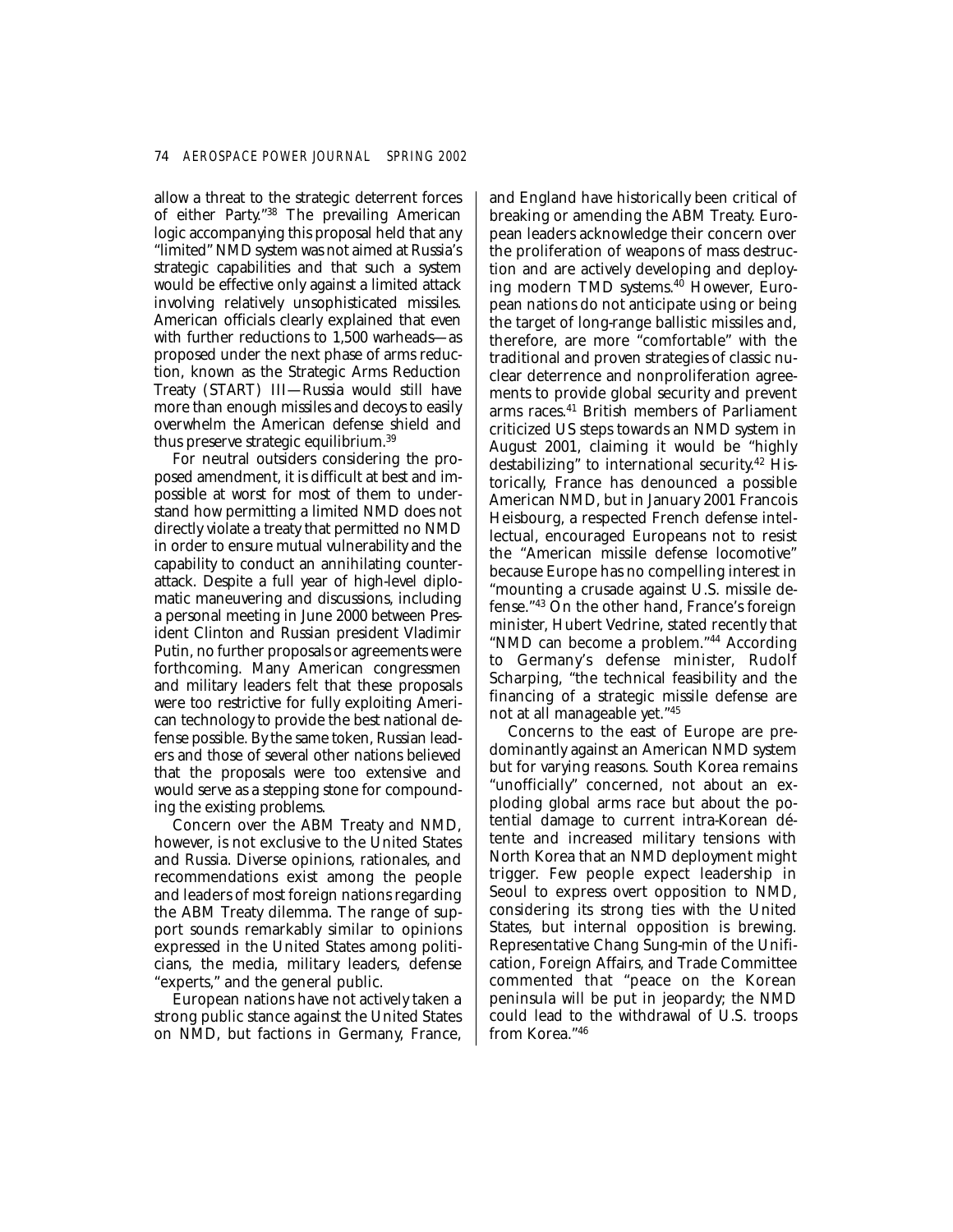allow a threat to the strategic deterrent forces of either Party."38 The prevailing American logic accompanying this proposal held that any "limited" NMD system was not aimed at Russia's strategic capabilities and that such a system would be effective only against a limited attack involving relatively unsophisticated missiles. American officials clearly explained that even with further reductions to 1,500 warheads—as proposed under the next phase of arms reduction, known as the Strategic Arms Reduction Treaty (START) III—Russia would still have more than enough missiles and decoys to easily overwhelm the American defense shield and thus preserve strategic equilibrium.39

For neutral outsiders considering the proposed amendment, it is difficult at best and impossible at worst for most of them to understand how permitting a limited NMD does not directly violate a treaty that permitted no NMD in order to ensure mutual vulnerability and the capability to conduct an annihilating counterattack. Despite a full year of high-level diplomatic maneuvering and discussions, including a personal meeting in June 2000 between President Clinton and Russian president Vladimir Putin, no further proposals or agreements were forthcoming. Many American congressmen and military leaders felt that these proposals were too restrictive for fully exploiting American technology to provide the best national defense possible. By the same token, Russian leaders and those of several other nations believed that the proposals were too extensive and would serve as a stepping stone for compounding the existing problems.

Concern over the ABM Treaty and NMD, however, is not exclusive to the United States and Russia. Diverse opinions, rationales, and recommendations exist among the people and leaders of most foreign nations regarding the ABM Treaty dilemma. The range of support sounds remarkably similar to opinions expressed in the United States among politicians, the media, military leaders, defense "experts," and the general public.

European nations have not actively taken a strong public stance against the United States on NMD, but factions in Germany, France, and England have historically been critical of breaking or amending the ABM Treaty. European leaders acknowledge their concern over the proliferation of weapons of mass destruction and are actively developing and deploying modern TMD systems.40 However, European nations do not anticipate using or being the target of long-range ballistic missiles and, therefore, are more "comfortable" with the traditional and proven strategies of classic nuclear deterrence and nonproliferation agreements to provide global security and prevent arms races.<sup>41</sup> British members of Parliament criticized US steps towards an NMD system in August 2001, claiming it would be "highly destabilizing" to international security. 42 Historically, France has denounced a possible American NMD, but in January 2001 Francois Heisbourg, a respected French defense intellectual, encouraged Europeans not to resist the "American missile defense locomotive" because Europe has no compelling interest in "mounting a crusade against U.S. missile defense."43 On the other hand, France's foreign minister, Hubert Vedrine, stated recently that "NMD can become a problem."44 According to Germany's defense minister, Rudolf Scharping, "the technical feasibility and the financing of a strategic missile defense are not at all manageable yet."45

Concerns to the east of Europe are predominantly against an American NMD system but for varying reasons. South Korea remains "unofficially" concerned, not about an exploding global arms race but about the potential damage to current intra-Korean détente and increased military tensions with North Korea that an NMD deployment might trigger. Few people expect leadership in Seoul to express overt opposition to NMD, considering its strong ties with the United States, but internal opposition is brewing. Representative Chang Sung-min of the Unification, Foreign Affairs, and Trade Committee commented that "peace on the Korean peninsula will be put in jeopardy; the NMD could lead to the withdrawal of U.S. troops from Korea."46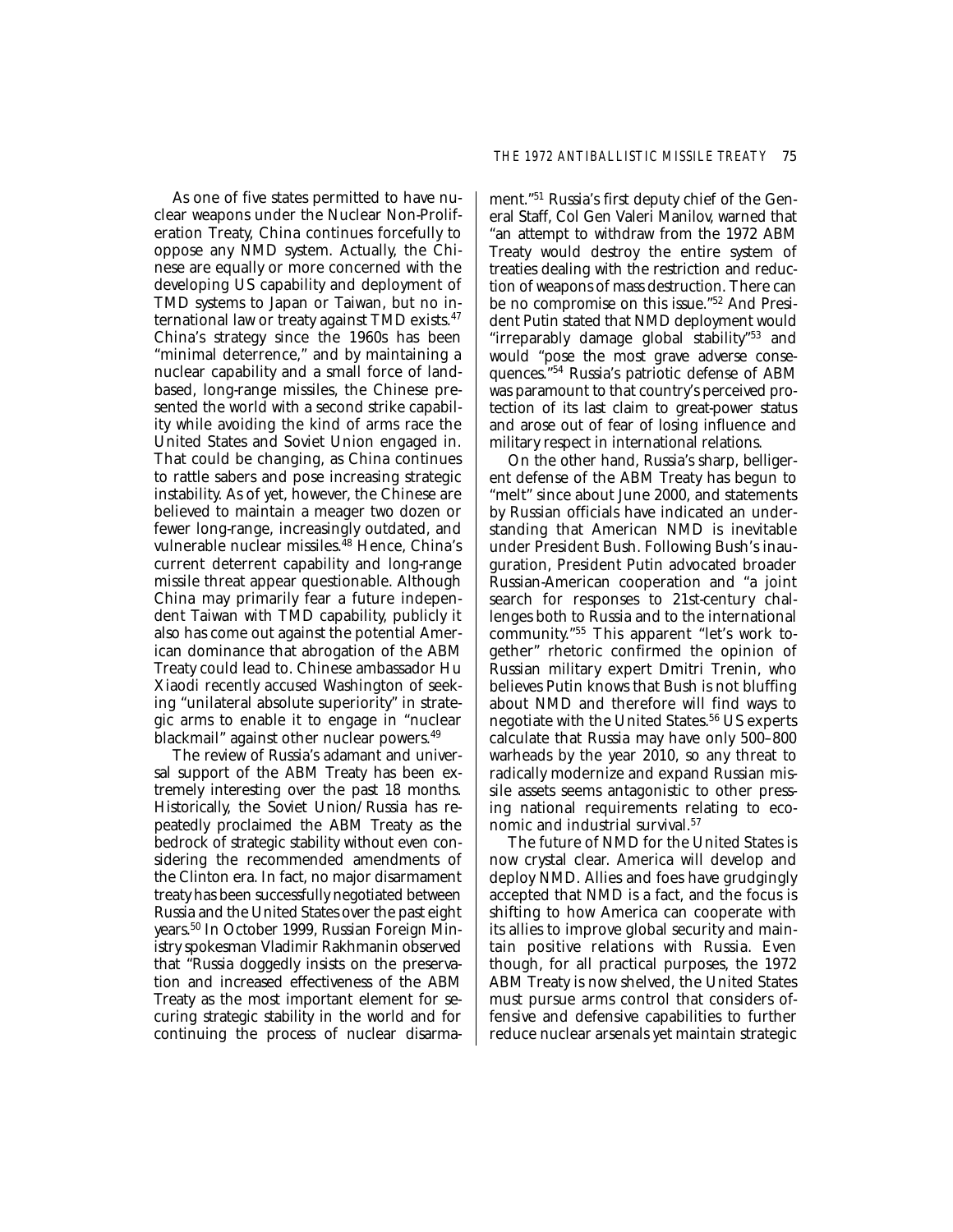As one of five states permitted to have nuclear weapons under the Nuclear Non-Proliferation Treaty, China continues forcefully to oppose any NMD system. Actually, the Chinese are equally or more concerned with the developing US capability and deployment of TMD systems to Japan or Taiwan, but no international law or treaty against TMD exists.47 China's strategy since the 1960s has been "minimal deterrence," and by maintaining a nuclear capability and a small force of landbased, long-range missiles, the Chinese presented the world with a second strike capability while avoiding the kind of arms race the United States and Soviet Union engaged in. That could be changing, as China continues to rattle sabers and pose increasing strategic instability. As of yet, however, the Chinese are believed to maintain a meager two dozen or fewer long-range, increasingly outdated, and vulnerable nuclear missiles.<sup>48</sup> Hence, China's current deterrent capability and long-range missile threat appear questionable. Although China may primarily fear a future independent Taiwan with TMD capability, publicly it also has come out against the potential American dominance that abrogation of the ABM Treaty could lead to. Chinese ambassador Hu Xiaodi recently accused Washington of seeking "unilateral absolute superiority" in strategic arms to enable it to engage in "nuclear blackmail" against other nuclear powers.<sup>49</sup>

The review of Russia's adamant and universal support of the ABM Treaty has been extremely interesting over the past 18 months. Historically, the Soviet Union/Russia has repeatedly proclaimed the ABM Treaty as the bedrock of strategic stability without even considering the recommended amendments of the Clinton era. In fact, no major disarmament treaty has been successfully negotiated between Russia and the United States over the past eight years.50 In October 1999, Russian Foreign Ministry spokesman Vladimir Rakhmanin observed that "Russia doggedly insists on the preservation and increased effectiveness of the ABM Treaty as the most important element for securing strategic stability in the world and for continuing the process of nuclear disarmament."51 Russia's first deputy chief of the General Staff, Col Gen Valeri Manilov, warned that "an attempt to withdraw from the 1972 ABM Treaty would destroy the entire system of treaties dealing with the restriction and reduction of weapons of mass destruction. There can be no compromise on this issue."52 And President Putin stated that NMD deployment would "irreparably damage global stability"53 and would "pose the most grave adverse consequences."54 Russia's patriotic defense of ABM was paramount to that country's perceived protection of its last claim to great-power status and arose out of fear of losing influence and military respect in international relations.

On the other hand, Russia's sharp, belligerent defense of the ABM Treaty has begun to "melt" since about June 2000, and statements by Russian officials have indicated an understanding that American NMD is inevitable under President Bush. Following Bush's inauguration, President Putin advocated broader Russian-American cooperation and "a joint search for responses to 21st-century challenges both to Russia and to the international community."55 This apparent "let's work together" rhetoric confirmed the opinion of Russian military expert Dmitri Trenin, who believes Putin knows that Bush is not bluffing about NMD and therefore will find ways to negotiate with the United States.<sup>56</sup> US experts calculate that Russia may have only 500–800 warheads by the year 2010, so any threat to radically modernize and expand Russian missile assets seems antagonistic to other pressing national requirements relating to economic and industrial survival.57

The future of NMD for the United States is now crystal clear. America will develop and deploy NMD. Allies and foes have grudgingly accepted that NMD is a fact, and the focus is shifting to how America can cooperate with its allies to improve global security and maintain positive relations with Russia. Even though, for all practical purposes, the 1972 ABM Treaty is now shelved, the United States must pursue arms control that considers offensive and defensive capabilities to further reduce nuclear arsenals yet maintain strategic